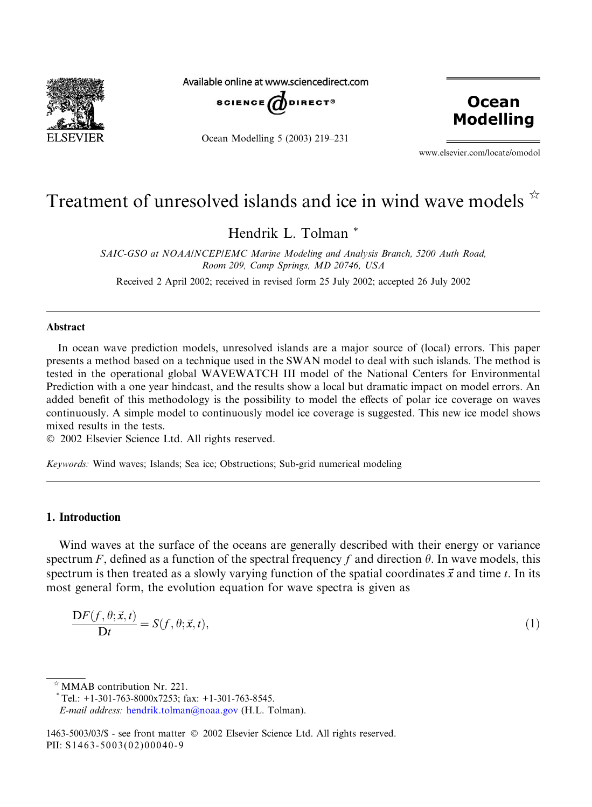

Available online at www.sciencedirect.com



Ocean Modelling 5 (2003) 219–231

**Ocean Modelling** 

www.elsevier.com/locate/omodol

# Treatment of unresolved islands and ice in wind wave models  $\dot{\alpha}$

Hendrik L. Tolman \*

SAIC-GSO at NOAA/NCEP/EMC Marine Modeling and Analysis Branch, 5200 Auth Road, Room 209, Camp Springs, MD 20746, USA

Received 2 April 2002; received in revised form 25 July 2002; accepted 26 July 2002

#### Abstract

In ocean wave prediction models, unresolved islands are a major source of (local) errors. This paper presents a method based on a technique used in the SWAN model to deal with such islands. The method is tested in the operational global WAVEWATCH III model of the National Centers for Environmental Prediction with a one year hindcast, and the results show a local but dramatic impact on model errors. An added benefit of this methodology is the possibility to model the effects of polar ice coverage on waves continuously. A simple model to continuously model ice coverage is suggested. This new ice model shows mixed results in the tests.

2002 Elsevier Science Ltd. All rights reserved.

Keywords: Wind waves; Islands; Sea ice; Obstructions; Sub-grid numerical modeling

#### 1. Introduction

Wind waves at the surface of the oceans are generally described with their energy or variance spectrum F, defined as a function of the spectral frequency f and direction  $\theta$ . In wave models, this spectrum is then treated as a slowly varying function of the spatial coordinates  $\vec{x}$  and time t. In its most general form, the evolution equation for wave spectra is given as

$$
\frac{\mathbf{D}F(f,\theta;\vec{x},t)}{\mathbf{D}t} = S(f,\theta;\vec{x},t),\tag{1}
$$

 $\mathbb{R}$  MMAB contribution Nr. 221.

 $^*$ Tel.: +1-301-763-8000x7253; fax: +1-301-763-8545.

1463-5003/03/\$ - see front matter 2002 Elsevier Science Ltd. All rights reserved. PII: S1463-5003(02)00040-9

E-mail address: [hendrik.tolman@noaa.gov](mail to: hendrik.tolman@noaa.gov) (H.L. Tolman).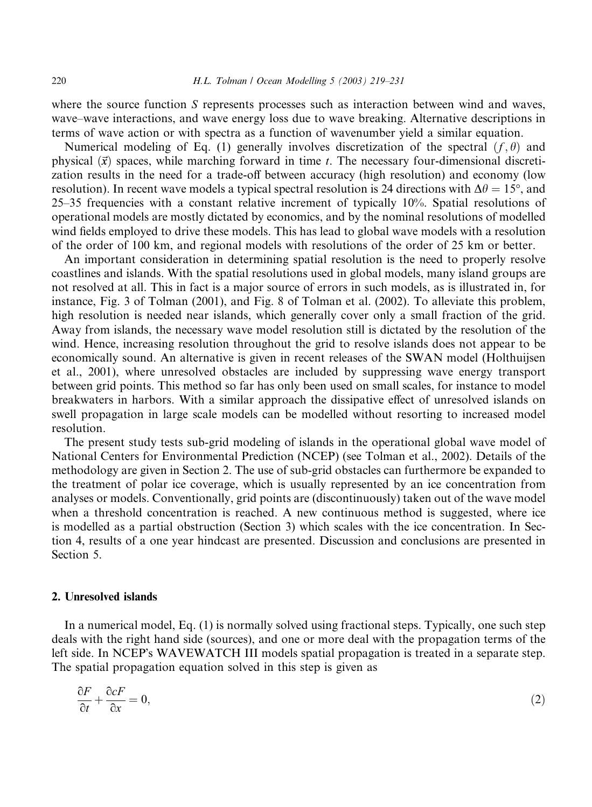where the source function S represents processes such as interaction between wind and waves, wave–wave interactions, and wave energy loss due to wave breaking. Alternative descriptions in terms of wave action or with spectra as a function of wavenumber yield a similar equation.

Numerical modeling of Eq. (1) generally involves discretization of the spectral  $(f, \theta)$  and physical  $(\vec{x})$  spaces, while marching forward in time t. The necessary four-dimensional discretization results in the need for a trade-off between accuracy (high resolution) and economy (low resolution). In recent wave models a typical spectral resolution is 24 directions with  $\Delta\theta = 15^{\circ}$ , and 25–35 frequencies with a constant relative increment of typically 10%. Spatial resolutions of operational models are mostly dictated by economics, and by the nominal resolutions of modelled wind fields employed to drive these models. This has lead to global wave models with a resolution of the order of 100 km, and regional models with resolutions of the order of 25 km or better.

An important consideration in determining spatial resolution is the need to properly resolve coastlines and islands. With the spatial resolutions used in global models, many island groups are not resolved at all. This in fact is a major source of errors in such models, as is illustrated in, for instance, Fig. 3 of Tolman (2001), and Fig. 8 of Tolman et al. (2002). To alleviate this problem, high resolution is needed near islands, which generally cover only a small fraction of the grid. Away from islands, the necessary wave model resolution still is dictated by the resolution of the wind. Hence, increasing resolution throughout the grid to resolve islands does not appear to be economically sound. An alternative is given in recent releases of the SWAN model (Holthuijsen et al., 2001), where unresolved obstacles are included by suppressing wave energy transport between grid points. This method so far has only been used on small scales, for instance to model breakwaters in harbors. With a similar approach the dissipative effect of unresolved islands on swell propagation in large scale models can be modelled without resorting to increased model resolution.

The present study tests sub-grid modeling of islands in the operational global wave model of National Centers for Environmental Prediction (NCEP) (see Tolman et al., 2002). Details of the methodology are given in Section 2. The use of sub-grid obstacles can furthermore be expanded to the treatment of polar ice coverage, which is usually represented by an ice concentration from analyses or models. Conventionally, grid points are (discontinuously) taken out of the wave model when a threshold concentration is reached. A new continuous method is suggested, where ice is modelled as a partial obstruction (Section 3) which scales with the ice concentration. In Section 4, results of a one year hindcast are presented. Discussion and conclusions are presented in Section 5.

## 2. Unresolved islands

In a numerical model, Eq. (1) is normally solved using fractional steps. Typically, one such step deals with the right hand side (sources), and one or more deal with the propagation terms of the left side. In NCEPs WAVEWATCH III models spatial propagation is treated in a separate step. The spatial propagation equation solved in this step is given as

$$
\frac{\partial F}{\partial t} + \frac{\partial cF}{\partial x} = 0,\tag{2}
$$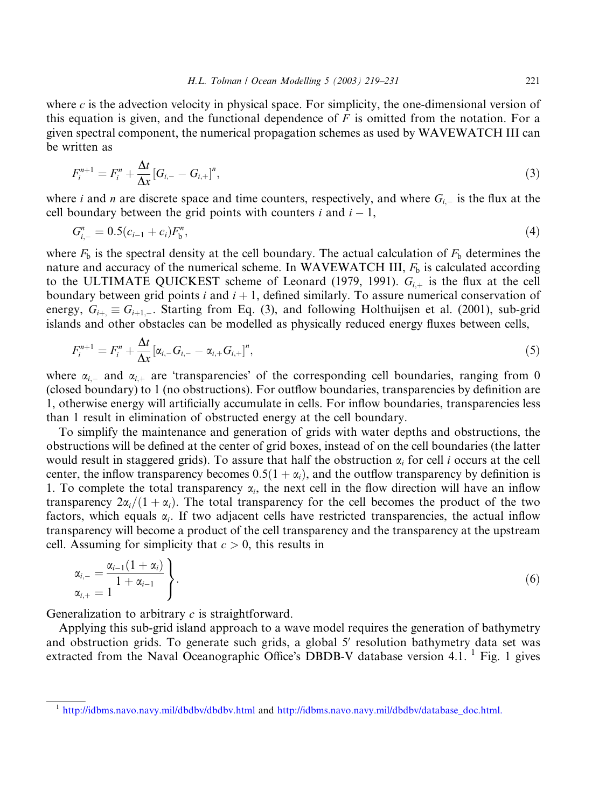where  $c$  is the advection velocity in physical space. For simplicity, the one-dimensional version of this equation is given, and the functional dependence of  $F$  is omitted from the notation. For a given spectral component, the numerical propagation schemes as used by WAVEWATCH III can be written as

$$
F_i^{n+1} = F_i^n + \frac{\Delta t}{\Delta x} [G_{i,-} - G_{i,+}]^n, \tag{3}
$$

where i and n are discrete space and time counters, respectively, and where  $G_{i-}$  is the flux at the cell boundary between the grid points with counters i and  $i - 1$ ,

$$
G_{i,-}^n = 0.5(c_{i-1} + c_i)F_6^n,
$$
\n(4)

where  $F_b$  is the spectral density at the cell boundary. The actual calculation of  $F_b$  determines the nature and accuracy of the numerical scheme. In WAVEWATCH III,  $F<sub>b</sub>$  is calculated according to the ULTIMATE QUICKEST scheme of Leonard (1979, 1991).  $G_{i,+}$  is the flux at the cell boundary between grid points i and  $i + 1$ , defined similarly. To assure numerical conservation of energy,  $G_{i+1} \equiv G_{i+1}$ . Starting from Eq. (3), and following Holthuijsen et al. (2001), sub-grid islands and other obstacles can be modelled as physically reduced energy fluxes between cells,

$$
F_i^{n+1} = F_i^n + \frac{\Delta t}{\Delta x} [\alpha_{i,-} G_{i,-} - \alpha_{i,+} G_{i,+}]^n, \tag{5}
$$

where  $\alpha_{i,-}$  and  $\alpha_{i,+}$  are 'transparencies' of the corresponding cell boundaries, ranging from 0 (closed boundary) to 1 (no obstructions). For outflow boundaries, transparencies by definition are 1, otherwise energy will artificially accumulate in cells. For inflow boundaries, transparencies less than 1 result in elimination of obstructed energy at the cell boundary.

To simplify the maintenance and generation of grids with water depths and obstructions, the obstructions will be defined at the center of grid boxes, instead of on the cell boundaries (the latter would result in staggered grids). To assure that half the obstruction  $\alpha_i$  for cell *i* occurs at the cell center, the inflow transparency becomes  $0.5(1 + \alpha_i)$ , and the outflow transparency by definition is 1. To complete the total transparency  $\alpha_i$ , the next cell in the flow direction will have an inflow transparency  $2\alpha_i/(1 + \alpha_i)$ . The total transparency for the cell becomes the product of the two factors, which equals  $\alpha_i$ . If two adjacent cells have restricted transparencies, the actual inflow transparency will become a product of the cell transparency and the transparency at the upstream cell. Assuming for simplicity that  $c > 0$ , this results in

$$
\begin{aligned}\n\alpha_{i,-} &= \frac{\alpha_{i-1}(1+\alpha_i)}{1+\alpha_{i-1}} \\
\alpha_{i,+} &= 1\n\end{aligned} \bigg\}.
$$
\n(6)

Generalization to arbitrary *c* is straightforward.

Applying this sub-grid island approach to a wave model requires the generation of bathymetry and obstruction grids. To generate such grids, a global 5' resolution bathymetry data set was extracted from the Naval Oceanographic Office's DBDB-V database version 4.1.<sup>1</sup> Fig. 1 gives

<sup>1</sup> <http://idbms.navo.navy.mil/dbdbv/dbdbv.html> and [http://idbms.navo.navy.mil/dbdbv/database\\_doc.html.](http://idbms.navo.navy.mil/dbdbv/database_doc.html)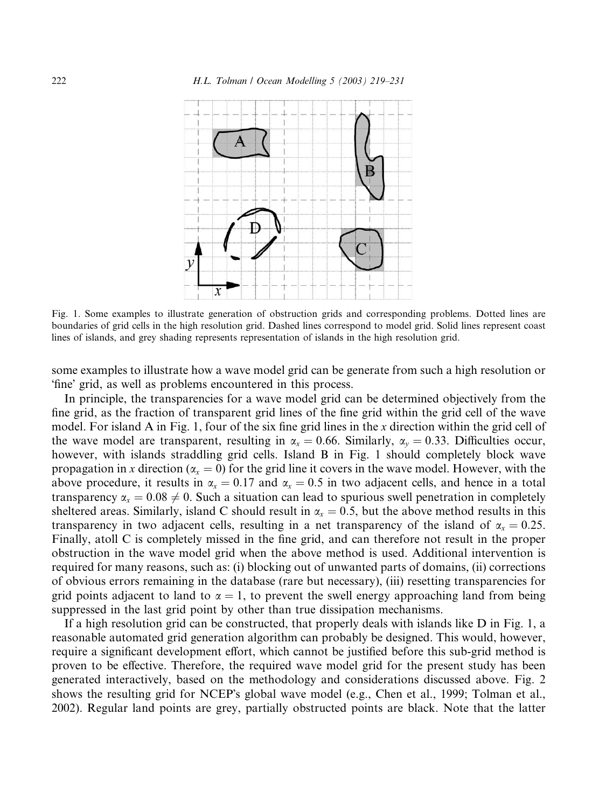

Fig. 1. Some examples to illustrate generation of obstruction grids and corresponding problems. Dotted lines are boundaries of grid cells in the high resolution grid. Dashed lines correspond to model grid. Solid lines represent coast lines of islands, and grey shading represents representation of islands in the high resolution grid.

some examples to illustrate how a wave model grid can be generate from such a high resolution or 'fine' grid, as well as problems encountered in this process.

In principle, the transparencies for a wave model grid can be determined objectively from the fine grid, as the fraction of transparent grid lines of the fine grid within the grid cell of the wave model. For island A in Fig. 1, four of the six fine grid lines in the x direction within the grid cell of the wave model are transparent, resulting in  $\alpha_x = 0.66$ . Similarly,  $\alpha_y = 0.33$ . Difficulties occur, however, with islands straddling grid cells. Island B in Fig. 1 should completely block wave propagation in x direction ( $\alpha_x = 0$ ) for the grid line it covers in the wave model. However, with the above procedure, it results in  $\alpha_x = 0.17$  and  $\alpha_x = 0.5$  in two adjacent cells, and hence in a total transparency  $\alpha_x = 0.08 \neq 0$ . Such a situation can lead to spurious swell penetration in completely sheltered areas. Similarly, island C should result in  $\alpha_x = 0.5$ , but the above method results in this transparency in two adjacent cells, resulting in a net transparency of the island of  $\alpha_x = 0.25$ . Finally, atoll C is completely missed in the fine grid, and can therefore not result in the proper obstruction in the wave model grid when the above method is used. Additional intervention is required for many reasons, such as: (i) blocking out of unwanted parts of domains, (ii) corrections of obvious errors remaining in the database (rare but necessary), (iii) resetting transparencies for grid points adjacent to land to  $\alpha = 1$ , to prevent the swell energy approaching land from being suppressed in the last grid point by other than true dissipation mechanisms.

If a high resolution grid can be constructed, that properly deals with islands like D in Fig. 1, a reasonable automated grid generation algorithm can probably be designed. This would, however, require a significant development effort, which cannot be justified before this sub-grid method is proven to be effective. Therefore, the required wave model grid for the present study has been generated interactively, based on the methodology and considerations discussed above. Fig. 2 shows the resulting grid for NCEP's global wave model (e.g., Chen et al., 1999; Tolman et al., 2002). Regular land points are grey, partially obstructed points are black. Note that the latter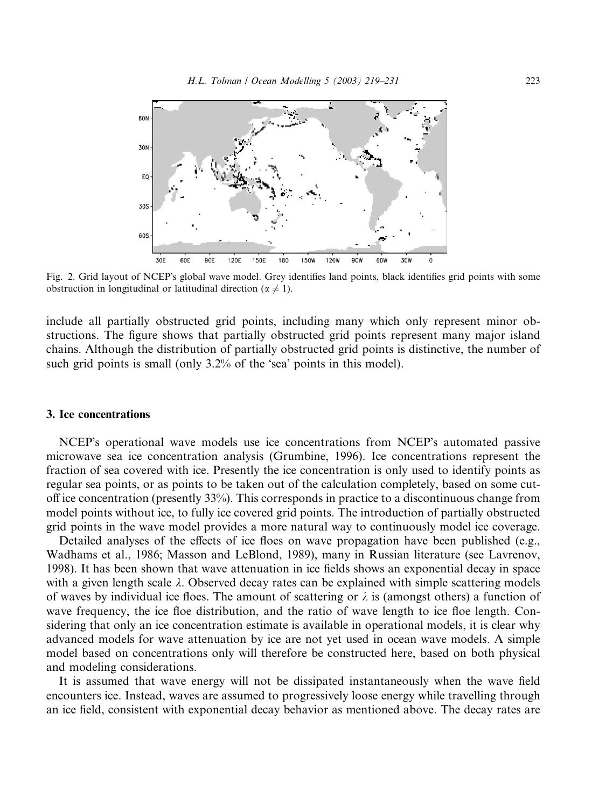

Fig. 2. Grid layout of NCEPs global wave model. Grey identifies land points, black identifies grid points with some obstruction in longitudinal or latitudinal direction ( $\alpha \neq 1$ ).

include all partially obstructed grid points, including many which only represent minor obstructions. The figure shows that partially obstructed grid points represent many major island chains. Although the distribution of partially obstructed grid points is distinctive, the number of such grid points is small (only 3.2% of the 'sea' points in this model).

## 3. Ice concentrations

NCEPs operational wave models use ice concentrations from NCEPs automated passive microwave sea ice concentration analysis (Grumbine, 1996). Ice concentrations represent the fraction of sea covered with ice. Presently the ice concentration is only used to identify points as regular sea points, or as points to be taken out of the calculation completely, based on some cutoff ice concentration (presently 33%). This corresponds in practice to a discontinuous change from model points without ice, to fully ice covered grid points. The introduction of partially obstructed grid points in the wave model provides a more natural way to continuously model ice coverage.

Detailed analyses of the effects of ice floes on wave propagation have been published (e.g., Wadhams et al., 1986; Masson and LeBlond, 1989), many in Russian literature (see Lavrenov, 1998). It has been shown that wave attenuation in ice fields shows an exponential decay in space with a given length scale  $\lambda$ . Observed decay rates can be explained with simple scattering models of waves by individual ice floes. The amount of scattering or  $\lambda$  is (amongst others) a function of wave frequency, the ice floe distribution, and the ratio of wave length to ice floe length. Considering that only an ice concentration estimate is available in operational models, it is clear why advanced models for wave attenuation by ice are not yet used in ocean wave models. A simple model based on concentrations only will therefore be constructed here, based on both physical and modeling considerations.

It is assumed that wave energy will not be dissipated instantaneously when the wave field encounters ice. Instead, waves are assumed to progressively loose energy while travelling through an ice field, consistent with exponential decay behavior as mentioned above. The decay rates are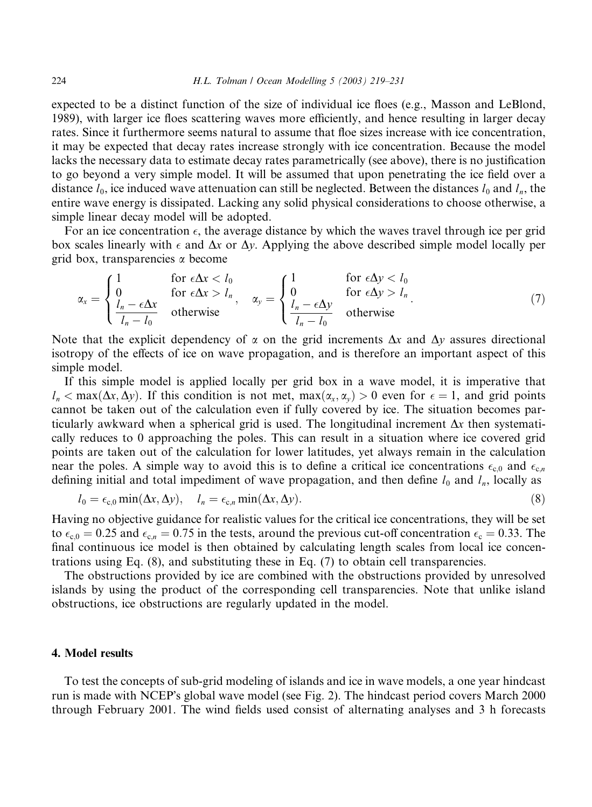expected to be a distinct function of the size of individual ice floes (e.g., Masson and LeBlond, 1989), with larger ice floes scattering waves more efficiently, and hence resulting in larger decay rates. Since it furthermore seems natural to assume that floe sizes increase with ice concentration, it may be expected that decay rates increase strongly with ice concentration. Because the model lacks the necessary data to estimate decay rates parametrically (see above), there is no justification to go beyond a very simple model. It will be assumed that upon penetrating the ice field over a distance  $l_0$ , ice induced wave attenuation can still be neglected. Between the distances  $l_0$  and  $l_n$ , the entire wave energy is dissipated. Lacking any solid physical considerations to choose otherwise, a simple linear decay model will be adopted.

For an ice concentration  $\epsilon$ , the average distance by which the waves travel through ice per grid box scales linearly with  $\epsilon$  and  $\Delta x$  or  $\Delta y$ . Applying the above described simple model locally per grid box, transparencies  $\alpha$  become

$$
\alpha_x = \begin{cases}\n1 & \text{for } \epsilon \Delta x < l_0 \\
0 & \text{for } \epsilon \Delta x > l_n \\
\frac{l_n - \epsilon \Delta x}{l_n - l_0} & \text{otherwise}\n\end{cases}, \quad \alpha_y = \begin{cases}\n1 & \text{for } \epsilon \Delta y < l_0 \\
0 & \text{for } \epsilon \Delta y > l_n \\
\frac{l_n - \epsilon \Delta y}{l_n - l_0} & \text{otherwise}\n\end{cases} \tag{7}
$$

Note that the explicit dependency of  $\alpha$  on the grid increments  $\Delta x$  and  $\Delta y$  assures directional isotropy of the effects of ice on wave propagation, and is therefore an important aspect of this simple model.

If this simple model is applied locally per grid box in a wave model, it is imperative that  $l_n < \max(\Delta x, \Delta y)$ . If this condition is not met,  $\max(\alpha_x, \alpha_y) > 0$  even for  $\epsilon = 1$ , and grid points cannot be taken out of the calculation even if fully covered by ice. The situation becomes particularly awkward when a spherical grid is used. The longitudinal increment  $\Delta x$  then systematically reduces to 0 approaching the poles. This can result in a situation where ice covered grid points are taken out of the calculation for lower latitudes, yet always remain in the calculation near the poles. A simple way to avoid this is to define a critical ice concentrations  $\epsilon_{c,0}$  and  $\epsilon_{c,n}$ defining initial and total impediment of wave propagation, and then define  $l_0$  and  $l_n$ , locally as

$$
l_0 = \epsilon_{c,0} \min(\Delta x, \Delta y), \quad l_n = \epsilon_{c,n} \min(\Delta x, \Delta y).
$$
\n(8)

Having no objective guidance for realistic values for the critical ice concentrations, they will be set to  $\epsilon_{c,0} = 0.25$  and  $\epsilon_{c,n} = 0.75$  in the tests, around the previous cut-off concentration  $\epsilon_c = 0.33$ . The final continuous ice model is then obtained by calculating length scales from local ice concentrations using Eq. (8), and substituting these in Eq. (7) to obtain cell transparencies.

The obstructions provided by ice are combined with the obstructions provided by unresolved islands by using the product of the corresponding cell transparencies. Note that unlike island obstructions, ice obstructions are regularly updated in the model.

## 4. Model results

To test the concepts of sub-grid modeling of islands and ice in wave models, a one year hindcast run is made with NCEPs global wave model (see Fig. 2). The hindcast period covers March 2000 through February 2001. The wind fields used consist of alternating analyses and 3 h forecasts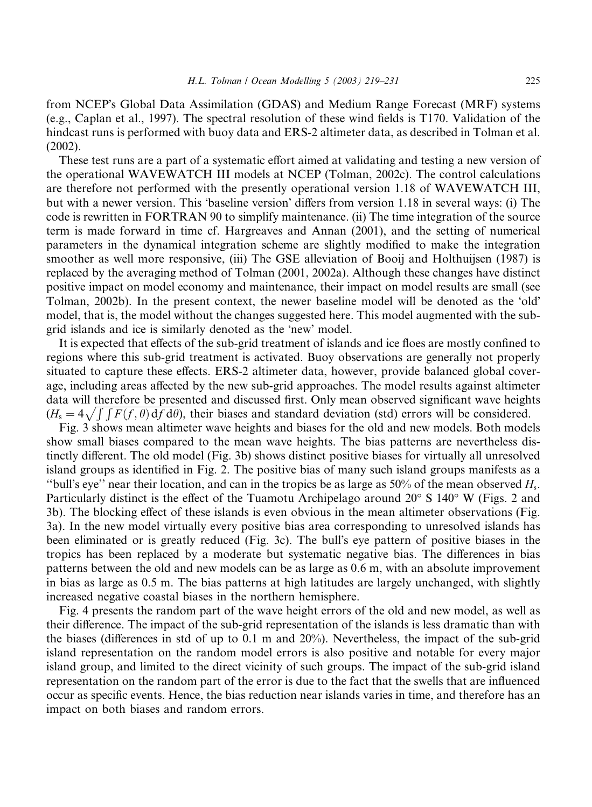from NCEPs Global Data Assimilation (GDAS) and Medium Range Forecast (MRF) systems (e.g., Caplan et al., 1997). The spectral resolution of these wind fields is T170. Validation of the hindcast runs is performed with buoy data and ERS-2 altimeter data, as described in Tolman et al. (2002).

These test runs are a part of a systematic effort aimed at validating and testing a new version of the operational WAVEWATCH III models at NCEP (Tolman, 2002c). The control calculations are therefore not performed with the presently operational version 1.18 of WAVEWATCH III, but with a newer version. This 'baseline version' differs from version 1.18 in several ways: (i) The code is rewritten in FORTRAN 90 to simplify maintenance. (ii) The time integration of the source term is made forward in time cf. Hargreaves and Annan (2001), and the setting of numerical parameters in the dynamical integration scheme are slightly modified to make the integration smoother as well more responsive, (iii) The GSE alleviation of Booij and Holthuijsen (1987) is replaced by the averaging method of Tolman (2001, 2002a). Although these changes have distinct positive impact on model economy and maintenance, their impact on model results are small (see Tolman, 2002b). In the present context, the newer baseline model will be denoted as the 'old' model, that is, the model without the changes suggested here. This model augmented with the subgrid islands and ice is similarly denoted as the 'new' model.

It is expected that effects of the sub-grid treatment of islands and ice floes are mostly confined to regions where this sub-grid treatment is activated. Buoy observations are generally not properly situated to capture these effects. ERS-2 altimeter data, however, provide balanced global coverage, including areas affected by the new sub-grid approaches. The model results against altimeter data will therefore be presented and discussed first. Only mean observed significant wave heights  $(H_s = 4\sqrt{\int \int F(f, \theta) d\theta}$ , their biases and standard deviation (std) errors will be considered.

Fig. 3 shows mean altimeter wave heights and biases for the old and new models. Both models show small biases compared to the mean wave heights. The bias patterns are nevertheless distinctly different. The old model (Fig. 3b) shows distinct positive biases for virtually all unresolved island groups as identified in Fig. 2. The positive bias of many such island groups manifests as a "bull's eye" near their location, and can in the tropics be as large as  $50\%$  of the mean observed  $H_s$ . Particularly distinct is the effect of the Tuamotu Archipelago around  $20^{\circ}$  S  $140^{\circ}$  W (Figs. 2 and 3b). The blocking effect of these islands is even obvious in the mean altimeter observations (Fig. 3a). In the new model virtually every positive bias area corresponding to unresolved islands has been eliminated or is greatly reduced (Fig. 3c). The bull's eye pattern of positive biases in the tropics has been replaced by a moderate but systematic negative bias. The differences in bias patterns between the old and new models can be as large as 0.6m, with an absolute improvement in bias as large as 0.5 m. The bias patterns at high latitudes are largely unchanged, with slightly increased negative coastal biases in the northern hemisphere.

Fig. 4 presents the random part of the wave height errors of the old and new model, as well as their difference. The impact of the sub-grid representation of the islands is less dramatic than with the biases (differences in std of up to 0.1 m and 20%). Nevertheless, the impact of the sub-grid island representation on the random model errors is also positive and notable for every major island group, and limited to the direct vicinity of such groups. The impact of the sub-grid island representation on the random part of the error is due to the fact that the swells that are influenced occur as specific events. Hence, the bias reduction near islands varies in time, and therefore has an impact on both biases and random errors.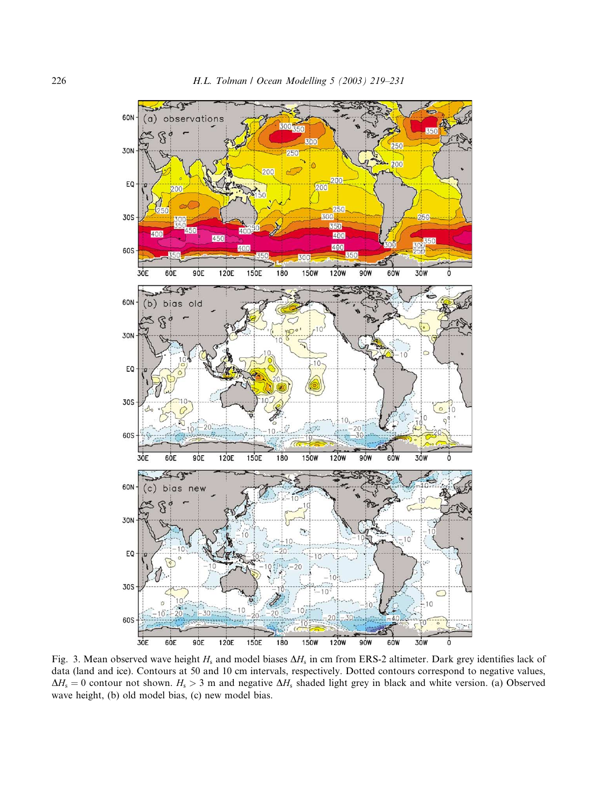

Fig. 3. Mean observed wave height  $H_s$  and model biases  $\Delta H_s$  in cm from ERS-2 altimeter. Dark grey identifies lack of data (land and ice). Contours at 50 and 10 cm intervals, respectively. Dotted contours correspond to negative values,  $\Delta H_s = 0$  contour not shown.  $H_s > 3$  m and negative  $\Delta H_s$  shaded light grey in black and white version. (a) Observed wave height, (b) old model bias, (c) new model bias.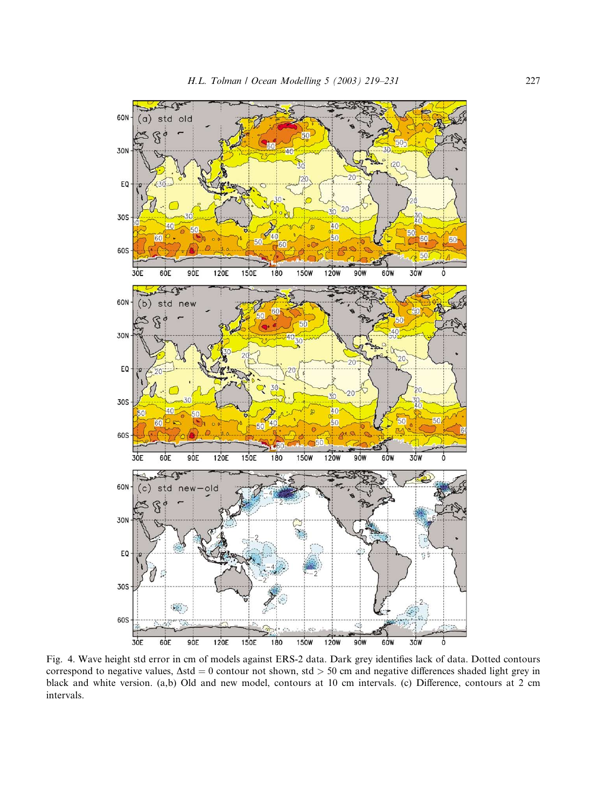

Fig. 4. Wave height std error in cm of models against ERS-2 data. Dark grey identifies lack of data. Dotted contours correspond to negative values,  $\Delta std = 0$  contour not shown, std > 50 cm and negative differences shaded light grey in black and white version. (a,b) Old and new model, contours at 10 cm intervals. (c) Difference, contours at 2 cm intervals.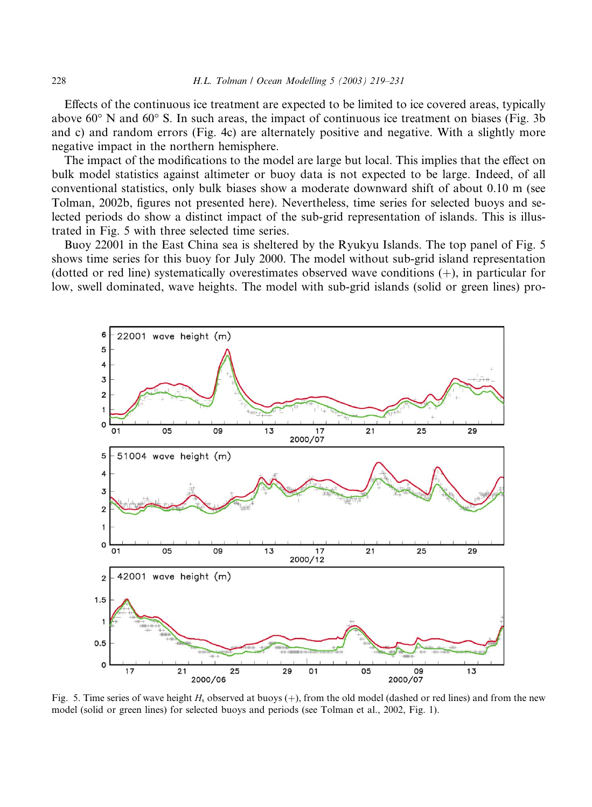Effects of the continuous ice treatment are expected to be limited to ice covered areas, typically above  $60^{\circ}$  N and  $60^{\circ}$  S. In such areas, the impact of continuous ice treatment on biases (Fig. 3b and c) and random errors (Fig. 4c) are alternately positive and negative. With a slightly more negative impact in the northern hemisphere.

The impact of the modifications to the model are large but local. This implies that the effect on bulk model statistics against altimeter or buoy data is not expected to be large. Indeed, of all conventional statistics, only bulk biases show a moderate downward shift of about 0.10 m (see Tolman, 2002b, figures not presented here). Nevertheless, time series for selected buoys and selected periods do show a distinct impact of the sub-grid representation of islands. This is illustrated in Fig. 5 with three selected time series.

Buoy 22001 in the East China sea is sheltered by the Ryukyu Islands. The top panel of Fig. 5 shows time series for this buoy for July 2000. The model without sub-grid island representation (dotted or red line) systematically overestimates observed wave conditions  $(+)$ , in particular for low, swell dominated, wave heights. The model with sub-grid islands (solid or green lines) pro-



Fig. 5. Time series of wave height  $H_s$  observed at buoys  $(+)$ , from the old model (dashed or red lines) and from the new model (solid or green lines) for selected buoys and periods (see Tolman et al., 2002, Fig. 1).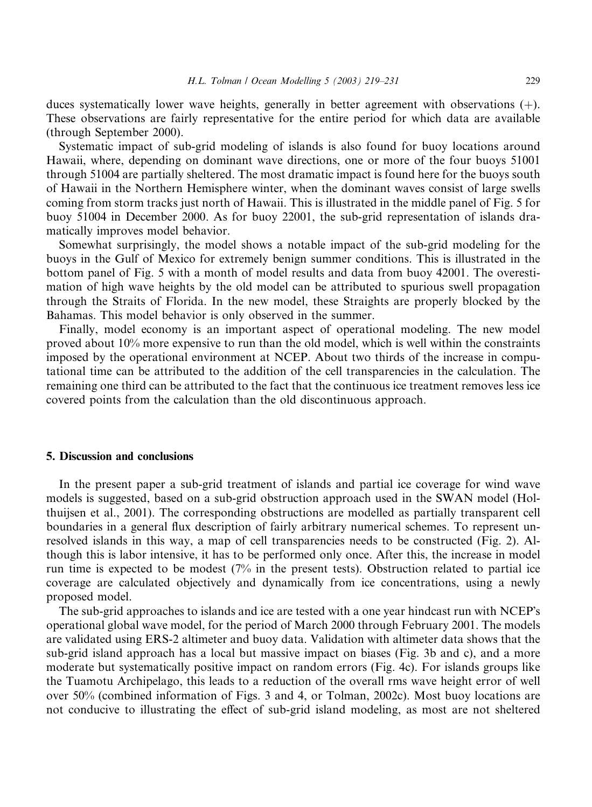duces systematically lower wave heights, generally in better agreement with observations  $(+)$ . These observations are fairly representative for the entire period for which data are available (through September 2000).

Systematic impact of sub-grid modeling of islands is also found for buoy locations around Hawaii, where, depending on dominant wave directions, one or more of the four buoys 51001 through 51004 are partially sheltered. The most dramatic impact is found here for the buoys south of Hawaii in the Northern Hemisphere winter, when the dominant waves consist of large swells coming from storm tracks just north of Hawaii. This is illustrated in the middle panel of Fig. 5 for buoy 51004 in December 2000. As for buoy 22001, the sub-grid representation of islands dramatically improves model behavior.

Somewhat surprisingly, the model shows a notable impact of the sub-grid modeling for the buoys in the Gulf of Mexico for extremely benign summer conditions. This is illustrated in the bottom panel of Fig. 5 with a month of model results and data from buoy 42001. The overestimation of high wave heights by the old model can be attributed to spurious swell propagation through the Straits of Florida. In the new model, these Straights are properly blocked by the Bahamas. This model behavior is only observed in the summer.

Finally, model economy is an important aspect of operational modeling. The new model proved about 10% more expensive to run than the old model, which is well within the constraints imposed by the operational environment at NCEP. About two thirds of the increase in computational time can be attributed to the addition of the cell transparencies in the calculation. The remaining one third can be attributed to the fact that the continuous ice treatment removes less ice covered points from the calculation than the old discontinuous approach.

### 5. Discussion and conclusions

In the present paper a sub-grid treatment of islands and partial ice coverage for wind wave models is suggested, based on a sub-grid obstruction approach used in the SWAN model (Holthuijsen et al., 2001). The corresponding obstructions are modelled as partially transparent cell boundaries in a general flux description of fairly arbitrary numerical schemes. To represent unresolved islands in this way, a map of cell transparencies needs to be constructed (Fig. 2). Although this is labor intensive, it has to be performed only once. After this, the increase in model run time is expected to be modest (7% in the present tests). Obstruction related to partial ice coverage are calculated objectively and dynamically from ice concentrations, using a newly proposed model.

The sub-grid approaches to islands and ice are tested with a one year hindcast run with NCEP's operational global wave model, for the period of March 2000 through February 2001. The models are validated using ERS-2 altimeter and buoy data. Validation with altimeter data shows that the sub-grid island approach has a local but massive impact on biases (Fig. 3b and c), and a more moderate but systematically positive impact on random errors (Fig. 4c). For islands groups like the Tuamotu Archipelago, this leads to a reduction of the overall rms wave height error of well over 50% (combined information of Figs. 3 and 4, or Tolman, 2002c). Most buoy locations are not conducive to illustrating the effect of sub-grid island modeling, as most are not sheltered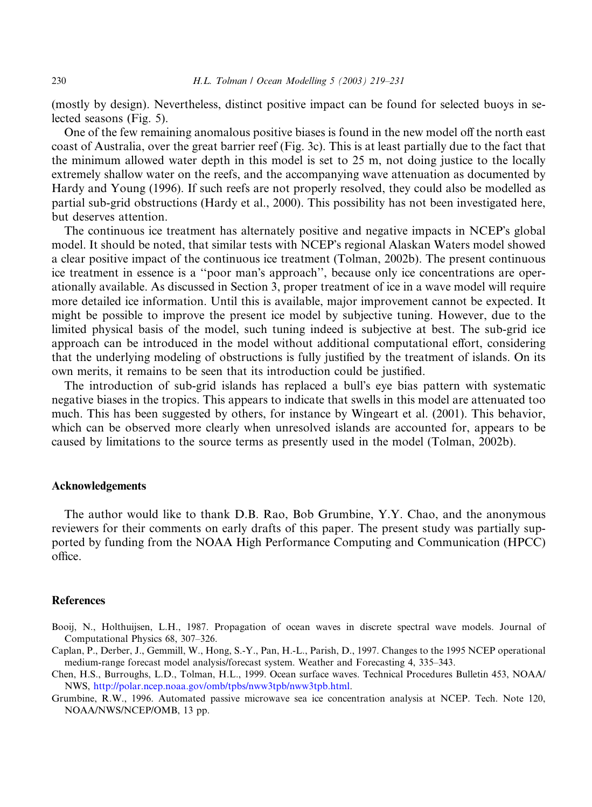(mostly by design). Nevertheless, distinct positive impact can be found for selected buoys in selected seasons (Fig. 5).

One of the few remaining anomalous positive biases is found in the new model off the north east coast of Australia, over the great barrier reef (Fig. 3c). This is at least partially due to the fact that the minimum allowed water depth in this model is set to 25 m, not doing justice to the locally extremely shallow water on the reefs, and the accompanying wave attenuation as documented by Hardy and Young (1996). If such reefs are not properly resolved, they could also be modelled as partial sub-grid obstructions (Hardy et al., 2000). This possibility has not been investigated here, but deserves attention.

The continuous ice treatment has alternately positive and negative impacts in NCEPs global model. It should be noted, that similar tests with NCEP's regional Alaskan Waters model showed a clear positive impact of the continuous ice treatment (Tolman, 2002b). The present continuous ice treatment in essence is a "poor man's approach", because only ice concentrations are operationally available. As discussed in Section 3, proper treatment of ice in a wave model will require more detailed ice information. Until this is available, major improvement cannot be expected. It might be possible to improve the present ice model by subjective tuning. However, due to the limited physical basis of the model, such tuning indeed is subjective at best. The sub-grid ice approach can be introduced in the model without additional computational effort, considering that the underlying modeling of obstructions is fully justified by the treatment of islands. On its own merits, it remains to be seen that its introduction could be justified.

The introduction of sub-grid islands has replaced a bull's eye bias pattern with systematic negative biases in the tropics. This appears to indicate that swells in this model are attenuated too much. This has been suggested by others, for instance by Wingeart et al. (2001). This behavior, which can be observed more clearly when unresolved islands are accounted for, appears to be caused by limitations to the source terms as presently used in the model (Tolman, 2002b).

#### Acknowledgements

The author would like to thank D.B. Rao, Bob Grumbine, Y.Y. Chao, and the anonymous reviewers for their comments on early drafts of this paper. The present study was partially supported by funding from the NOAA High Performance Computing and Communication (HPCC) office.

## **References**

- Booij, N., Holthuijsen, L.H., 1987. Propagation of ocean waves in discrete spectral wave models. Journal of Computational Physics 68, 307–326.
- Caplan, P., Derber, J., Gemmill, W., Hong, S.-Y., Pan, H.-L., Parish, D., 1997. Changes to the 1995 NCEP operational medium-range forecast model analysis/forecast system. Weather and Forecasting 4, 335–343.
- Chen, H.S., Burroughs, L.D., Tolman, H.L., 1999. Ocean surface waves. Technical Procedures Bulletin 453, NOAA/ NWS, [http://polar.ncep.noaa.gov/omb/tpbs/nww3tpb/nww3tpb.html.](http://polar.ncep.noaa.gov/omb/tpbs/nww3tpb/nww3tpb.html)
- Grumbine, R.W., 1996. Automated passive microwave sea ice concentration analysis at NCEP. Tech. Note 120, NOAA/NWS/NCEP/OMB, 13 pp.